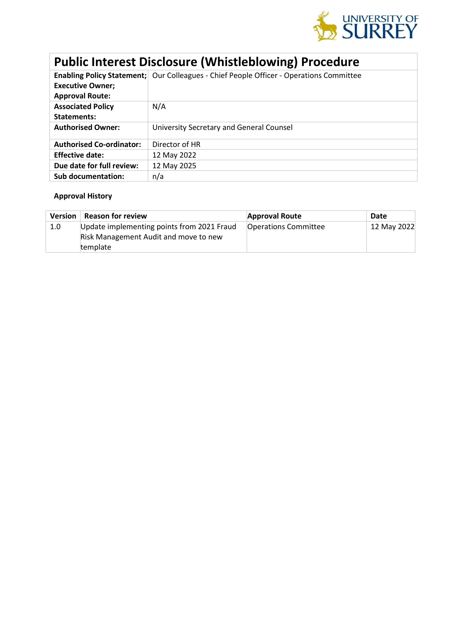

# **Public Interest Disclosure (Whistleblowing) Procedure**

|                                 | Enabling Policy Statement; Our Colleagues - Chief People Officer - Operations Committee |
|---------------------------------|-----------------------------------------------------------------------------------------|
| <b>Executive Owner;</b>         |                                                                                         |
| <b>Approval Route:</b>          |                                                                                         |
| <b>Associated Policy</b>        | N/A                                                                                     |
| Statements:                     |                                                                                         |
| <b>Authorised Owner:</b>        | University Secretary and General Counsel                                                |
| <b>Authorised Co-ordinator:</b> | Director of HR                                                                          |
| <b>Effective date:</b>          | 12 May 2022                                                                             |
| Due date for full review:       | 12 May 2025                                                                             |
| Sub documentation:              | n/a                                                                                     |

## **Approval History**

| <b>Version</b> | <b>Reason for review</b>                   | <b>Approval Route</b>       | Date        |
|----------------|--------------------------------------------|-----------------------------|-------------|
| 1.0            | Update implementing points from 2021 Fraud | <b>Operations Committee</b> | 12 May 2022 |
|                | Risk Management Audit and move to new      |                             |             |
|                | template                                   |                             |             |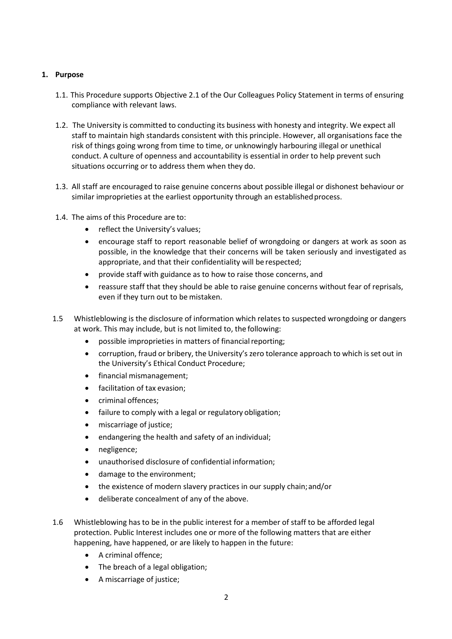## **1. Purpose**

- 1.1. This Procedure supports Objective 2.1 of the Our Colleagues Policy Statement in terms of ensuring compliance with relevant laws.
- 1.2. The University is committed to conducting its business with honesty and integrity. We expect all staff to maintain high standards consistent with this principle. However, all organisations face the risk of things going wrong from time to time, or unknowingly harbouring illegal or unethical conduct. A culture of openness and accountability is essential in order to help prevent such situations occurring or to address them when they do.
- 1.3. All staff are encouraged to raise genuine concerns about possible illegal or dishonest behaviour or similar improprieties at the earliest opportunity through an established process.
- 1.4. The aims of this Procedure are to:
	- reflect the University's values;
	- encourage staff to report reasonable belief of wrongdoing or dangers at work as soon as possible, in the knowledge that their concerns will be taken seriously and investigated as appropriate, and that their confidentiality will be respected;
	- provide staff with guidance as to how to raise those concerns, and
	- reassure staff that they should be able to raise genuine concerns without fear of reprisals, even if they turn out to be mistaken.
- 1.5 Whistleblowing is the disclosure of information which relates to suspected wrongdoing or dangers at work. This may include, but is not limited to, the following:
	- possible improprieties in matters of financial reporting;
	- corruption, fraud or bribery, the University's zero tolerance approach to which isset out in the University's Ethical Conduct Procedure;
	- financial mismanagement;
	- facilitation of tax evasion;
	- criminal offences;
	- failure to comply with a legal or regulatory obligation;
	- miscarriage of justice;
	- endangering the health and safety of an individual;
	- negligence;
	- unauthorised disclosure of confidential information;
	- damage to the environment;
	- the existence of modern slavery practices in our supply chain; and/or
	- deliberate concealment of any of the above.
- 1.6 Whistleblowing has to be in the public interest for a member of staff to be afforded legal protection. Public Interest includes one or more of the following matters that are either happening, have happened, or are likely to happen in the future:
	- A criminal offence;
	- The breach of a legal obligation;
	- A miscarriage of justice;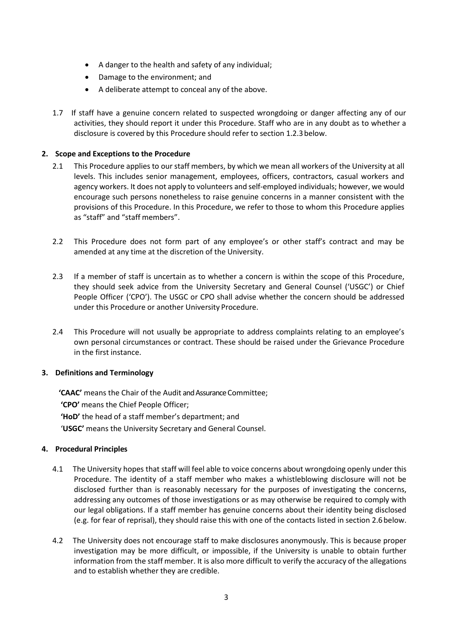- A danger to the health and safety of any individual;
- Damage to the environment; and
- A deliberate attempt to conceal any of the above.
- 1.7 If staff have a genuine concern related to suspected wrongdoing or danger affecting any of our activities, they should report it under this Procedure. Staff who are in any doubt as to whether a disclosure is covered by this Procedure should refer to section 1.2.3below.

## **2. Scope and Exceptions to the Procedure**

- 2.1 This Procedure applies to our staff members, by which we mean all workers of the University at all levels. This includes senior management, employees, officers, contractors, casual workers and agency workers. It does not apply to volunteers and self-employed individuals; however, we would encourage such persons nonetheless to raise genuine concerns in a manner consistent with the provisions of this Procedure. In this Procedure, we refer to those to whom this Procedure applies as "staff" and "staff members".
- 2.2 This Procedure does not form part of any employee's or other staff's contract and may be amended at any time at the discretion of the University.
- 2.3 If a member of staff is uncertain as to whether a concern is within the scope of this Procedure, they should seek advice from the University Secretary and General Counsel ('USGC') or Chief People Officer ('CPO'). The USGC or CPO shall advise whether the concern should be addressed under this Procedure or another University Procedure.
- 2.4 This Procedure will not usually be appropriate to address complaints relating to an employee's own personal circumstances or contract. These should be raised under the Grievance Procedure in the first instance.

## **3. Definitions and Terminology**

**'CAAC'** means the Chair of the Audit and Assurance Committee; **'CPO'** means the Chief People Officer; **'HoD'** the head of a staff member's department; and '**USGC'** means the University Secretary and General Counsel.

## **4. Procedural Principles**

- 4.1 The University hopes that staff will feel able to voice concerns about wrongdoing openly under this Procedure. The identity of a staff member who makes a whistleblowing disclosure will not be disclosed further than is reasonably necessary for the purposes of investigating the concerns, addressing any outcomes of those investigations or as may otherwise be required to comply with our legal obligations. If a staff member has genuine concerns about their identity being disclosed (e.g. for fear of reprisal), they should raise this with one of the contacts listed in section 2.6 below.
- 4.2 The University does not encourage staff to make disclosures anonymously. This is because proper investigation may be more difficult, or impossible, if the University is unable to obtain further information from the staff member. It is also more difficult to verify the accuracy of the allegations and to establish whether they are credible.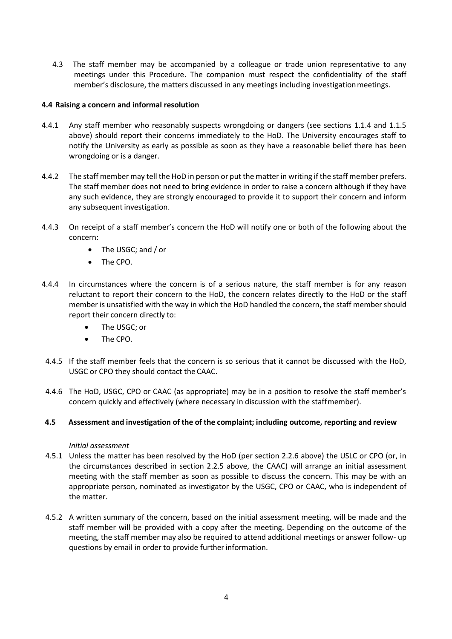4.3 The staff member may be accompanied by a colleague or trade union representative to any meetings under this Procedure. The companion must respect the confidentiality of the staff member's disclosure, the matters discussed in any meetings including investigationmeetings.

## **4.4 Raising a concern and informal resolution**

- 4.4.1 Any staff member who reasonably suspects wrongdoing or dangers (see sections 1.1.4 and 1.1.5 above) should report their concerns immediately to the HoD. The University encourages staff to notify the University as early as possible as soon as they have a reasonable belief there has been wrongdoing or is a danger.
- 4.4.2 The staff member may tell the HoD in person or put the matter in writing if the staff member prefers. The staff member does not need to bring evidence in order to raise a concern although if they have any such evidence, they are strongly encouraged to provide it to support their concern and inform any subsequent investigation.
- 4.4.3 On receipt of a staff member's concern the HoD will notify one or both of the following about the concern:
	- The USGC; and / or
	- The CPO.
- 4.4.4 In circumstances where the concern is of a serious nature, the staff member is for any reason reluctant to report their concern to the HoD, the concern relates directly to the HoD or the staff member is unsatisfied with the way in which the HoD handled the concern, the staff member should report their concern directly to:
	- The USGC; or
	- The CPO.
- 4.4.5 If the staff member feels that the concern is so serious that it cannot be discussed with the HoD, USGC or CPO they should contact the CAAC.
- 4.4.6 The HoD, USGC, CPO or CAAC (as appropriate) may be in a position to resolve the staff member's concern quickly and effectively (where necessary in discussion with the staffmember).

## **4.5 Assessment and investigation of the of the complaint; including outcome, reporting and review**

#### *Initial assessment*

- 4.5.1 Unless the matter has been resolved by the HoD (per section 2.2.6 above) the USLC or CPO (or, in the circumstances described in section 2.2.5 above, the CAAC) will arrange an initial assessment meeting with the staff member as soon as possible to discuss the concern. This may be with an appropriate person, nominated as investigator by the USGC, CPO or CAAC, who is independent of the matter.
- 4.5.2 A written summary of the concern, based on the initial assessment meeting, will be made and the staff member will be provided with a copy after the meeting. Depending on the outcome of the meeting, the staff member may also be required to attend additional meetings or answer follow- up questions by email in order to provide further information.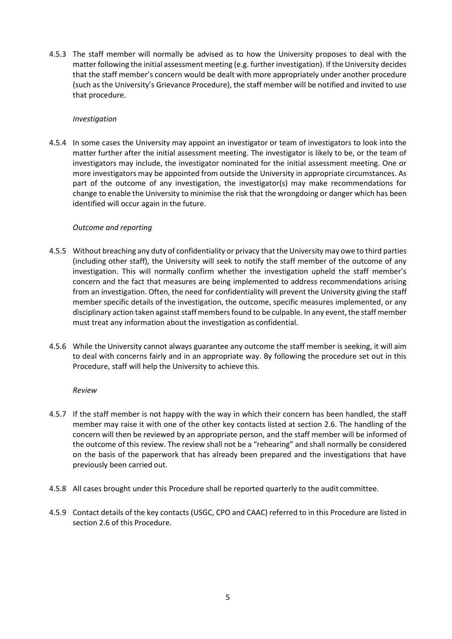4.5.3 The staff member will normally be advised as to how the University proposes to deal with the matter following the initial assessment meeting (e.g. further investigation). If the University decides that the staff member's concern would be dealt with more appropriately under another procedure (such as the University's Grievance Procedure), the staff member will be notified and invited to use that procedure.

## *Investigation*

4.5.4 In some cases the University may appoint an investigator or team of investigators to look into the matter further after the initial assessment meeting. The investigator is likely to be, or the team of investigators may include, the investigator nominated for the initial assessment meeting. One or more investigators may be appointed from outside the University in appropriate circumstances. As part of the outcome of any investigation, the investigator(s) may make recommendations for change to enable the University to minimise the risk that the wrongdoing or danger which has been identified will occur again in the future.

## *Outcome and reporting*

- 4.5.5 Without breaching any duty of confidentiality or privacy thatthe University may owe to third parties (including other staff), the University will seek to notify the staff member of the outcome of any investigation. This will normally confirm whether the investigation upheld the staff member's concern and the fact that measures are being implemented to address recommendations arising from an investigation. Often, the need for confidentiality will prevent the University giving the staff member specific details of the investigation, the outcome, specific measures implemented, or any disciplinary action taken against staff members found to be culpable. In any event, the staff member must treat any information about the investigation as confidential.
- 4.5.6 While the University cannot always guarantee any outcome the staff member is seeking, it will aim to deal with concerns fairly and in an appropriate way. By following the procedure set out in this Procedure, staff will help the University to achieve this.

## *Review*

- 4.5.7 If the staff member is not happy with the way in which their concern has been handled, the staff member may raise it with one of the other key contacts listed at section 2.6. The handling of the concern will then be reviewed by an appropriate person, and the staff member will be informed of the outcome of this review. The review shall not be a "rehearing" and shall normally be considered on the basis of the paperwork that has already been prepared and the investigations that have previously been carried out.
- 4.5.8 All cases brought under this Procedure shall be reported quarterly to the audit committee.
- 4.5.9 Contact details of the key contacts (USGC, CPO and CAAC) referred to in this Procedure are listed in section 2.6 of this Procedure.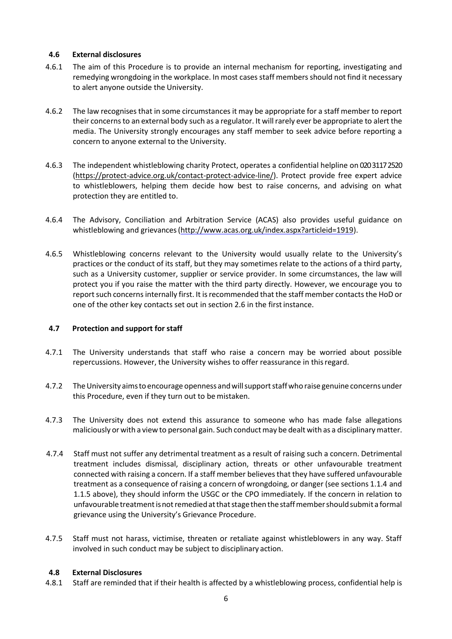## **4.6 External disclosures**

- 4.6.1 The aim of this Procedure is to provide an internal mechanism for reporting, investigating and remedying wrongdoing in the workplace. In most cases staff members should not find it necessary to alert anyone outside the University.
- 4.6.2 The law recognises that in some circumstances it may be appropriate for a staff member to report their concernsto an external body such as a regulator. It willrarely ever be appropriate to alert the media. The University strongly encourages any staff member to seek advice before reporting a concern to anyone external to the University.
- 4.6.3 The independent whistleblowing charity Protect, operates a confidential helpline on 020 3117 2520 [\(https://protect-advice.org.uk/contact-protect-advice-line/\)](https://protect-advice.org.uk/contact-protect-advice-line/). Protect provide free expert advice to whistleblowers, helping them decide how best to raise concerns, and advising on what protection they are entitled to.
- 4.6.4 The Advisory, Conciliation and Arbitration Service (ACAS) also provides useful guidance on whistleblowing and grievances [\(http://www.acas.org.uk/index.aspx?articleid=1919\)](http://www.acas.org.uk/index.aspx?articleid=1919).
- 4.6.5 Whistleblowing concerns relevant to the University would usually relate to the University's practices or the conduct of its staff, but they may sometimes relate to the actions of a third party, such as a University customer, supplier or service provider. In some circumstances, the law will protect you if you raise the matter with the third party directly. However, we encourage you to report such concerns internally first. It is recommended that the staff member contacts the HoD or one of the other key contacts set out in section 2.6 in the firstinstance.

## **4.7 Protection and support for staff**

- 4.7.1 The University understands that staff who raise a concern may be worried about possible repercussions. However, the University wishes to offer reassurance in thisregard.
- 4.7.2 The University aims to encourage openness and will support staff who raise genuine concerns under this Procedure, even if they turn out to be mistaken.
- 4.7.3 The University does not extend this assurance to someone who has made false allegations maliciously orwith a view to personal gain. Such conductmay be dealt with as a disciplinarymatter.
- 4.7.4 Staff must not suffer any detrimental treatment as a result of raising such a concern. Detrimental treatment includes dismissal, disciplinary action, threats or other unfavourable treatment connected with raising a concern. If a staff member believes that they have suffered unfavourable treatment as a consequence of raising a concern of wrongdoing, or danger (see sections 1.1.4 and 1.1.5 above), they should inform the USGC or the CPO immediately. If the concern in relation to unfavourable treatment is not remedied at that stage then the staff member should submit a formal grievance using the University's Grievance Procedure.
- 4.7.5 Staff must not harass, victimise, threaten or retaliate against whistleblowers in any way. Staff involved in such conduct may be subject to disciplinary action.

## **4.8 External Disclosures**

4.8.1 Staff are reminded that if their health is affected by a whistleblowing process, confidential help is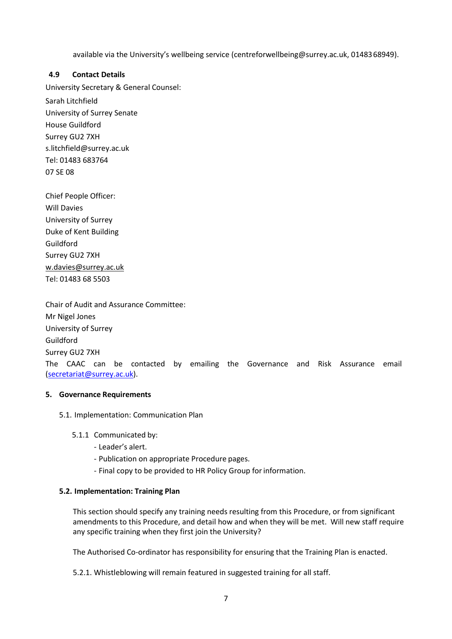available via the University's wellbeing service [\(centreforwellbeing@surrey.ac.uk, 0](mailto:(centreforwellbeing@surrey.ac.uk)148368949).

## **4.9 Contact Details**

University Secretary & General Counsel: Sarah Litchfield University of Surrey Senate House Guildford Surrey GU2 7XH [s.litchfield@surrey.ac.uk](mailto:s.litchfield@surrey.ac.uk) Tel: 01483 683764 07 SE 08

Chief People Officer: Will Davies University of Surrey Duke of Kent Building Guildford Surrey GU2 7XH [w.davies@surrey.ac.uk](mailto:w.davies@surrey.ac.uk)  Tel: 01483 68 5503

Chair of Audit and Assurance Committee: Mr Nigel Jones University of Surrey Guildford Surrey GU2 7XH The CAAC can be contacted by emailing the Governance and Risk Assurance email [\(secretariat@surrey.ac.uk\)](mailto:secretariat@surrey.ac.uk).

## **5. Governance Requirements**

5.1. Implementation: Communication Plan

## 5.1.1 Communicated by:

- Leader's alert.
- Publication on appropriate Procedure pages.
- Final copy to be provided to HR Policy Group forinformation.

## **5.2. Implementation: Training Plan**

This section should specify any training needs resulting from this Procedure, or from significant amendments to this Procedure, and detail how and when they will be met. Will new staff require any specific training when they first join the University?

The Authorised Co-ordinator has responsibility for ensuring that the Training Plan is enacted.

5.2.1. Whistleblowing will remain featured in suggested training for all staff.